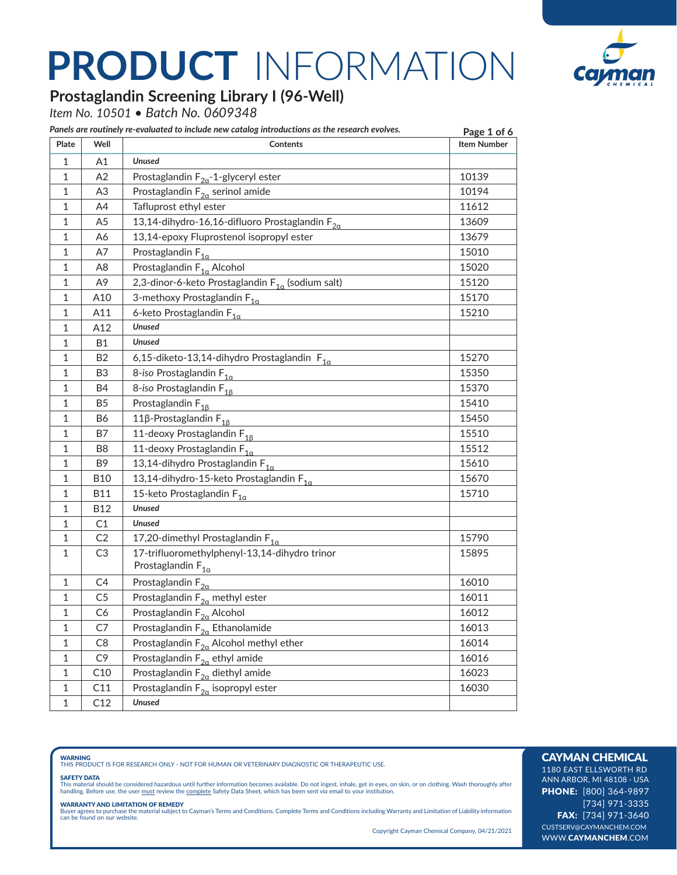

### **Prostaglandin Screening Library I (96-Well)**

*Item No. 10501 • Batch No. 0609348*

| Plate        | Well           | Panels are routinely re-evaluated to include new catalog introductions as the research evolves.<br><b>Contents</b> | Page 1 of 6<br><b>Item Number</b> |
|--------------|----------------|--------------------------------------------------------------------------------------------------------------------|-----------------------------------|
| $\mathbf{1}$ | Α1             | <b>Unused</b>                                                                                                      |                                   |
| 1            | A2             | Prostaglandin $F_{2a}$ -1-glyceryl ester                                                                           | 10139                             |
| 1            | A <sub>3</sub> | Prostaglandin $F_{2\alpha}$ serinol amide                                                                          | 10194                             |
| 1            | A4             | Tafluprost ethyl ester                                                                                             | 11612                             |
| 1            | A <sub>5</sub> | 13,14-dihydro-16,16-difluoro Prostaglandin F <sub>2a</sub>                                                         | 13609                             |
| 1            | A6             | 13,14-epoxy Fluprostenol isopropyl ester                                                                           | 13679                             |
| 1            | A7             | Prostaglandin $F_{1a}$                                                                                             | 15010                             |
| 1            | A8             | Prostaglandin $F_{1\alpha}$ Alcohol                                                                                | 15020                             |
| 1            | A9             | 2,3-dinor-6-keto Prostaglandin $F_{1\alpha}$ (sodium salt)                                                         | 15120                             |
| 1            | A10            | 3-methoxy Prostaglandin F <sub>1a</sub>                                                                            | 15170                             |
| 1            | A11            | 6-keto Prostaglandin $F_{1\alpha}$                                                                                 | 15210                             |
| $\mathbf{1}$ | A12            | <b>Unused</b>                                                                                                      |                                   |
| 1            | Β1             | <b>Unused</b>                                                                                                      |                                   |
| 1            | B <sub>2</sub> | 6,15-diketo-13,14-dihydro Prostaglandin F <sub>1a</sub>                                                            | 15270                             |
| 1            | B3             | 8-iso Prostaglandin $F_{1a}$                                                                                       | 15350                             |
| 1            | B4             | 8-iso Prostaglandin F <sub>16</sub>                                                                                | 15370                             |
| 1            | B5             | Prostaglandin F <sub>16</sub>                                                                                      | 15410                             |
| 1            | B6             | 11β-Prostaglandin $F_{16}$                                                                                         | 15450                             |
| 1            | Β7             | 11-deoxy Prostaglandin F <sub>16</sub>                                                                             | 15510                             |
| 1            | B8             | 11-deoxy Prostaglandin F <sub>1a</sub>                                                                             | 15512                             |
| 1            | B9             | 13,14-dihydro Prostaglandin F <sub>1a</sub>                                                                        | 15610                             |
| 1            | <b>B10</b>     | 13,14-dihydro-15-keto Prostaglandin F <sub>1a</sub>                                                                | 15670                             |
| $\mathbf{1}$ | B11            | 15-keto Prostaglandin $F_{1a}$                                                                                     | 15710                             |
| 1            | <b>B12</b>     | <b>Unused</b>                                                                                                      |                                   |
| 1            | C <sub>1</sub> | Unused                                                                                                             |                                   |
| 1            | C <sub>2</sub> | 17,20-dimethyl Prostaglandin $F_{1\alpha}$                                                                         | 15790                             |
| $\mathbf{1}$ | C <sub>3</sub> | 17-trifluoromethylphenyl-13,14-dihydro trinor<br>Prostaglandin $F_{1\alpha}$                                       | 15895                             |
| 1            | C4             | Prostaglandin $F_{2a}$                                                                                             | 16010                             |
| 1            | C5             | Prostaglandin $F_{2\alpha}$ methyl ester                                                                           | 16011                             |
| $\mathbf{1}$ | C6             | Prostaglandin F <sub>2a</sub> Alcohol                                                                              | 16012                             |
| 1            | C7             | Prostaglandin $F_{2\alpha}$ Ethanolamide                                                                           | 16013                             |
| 1            | C <sub>8</sub> | Prostaglandin $F_{2a}$ Alcohol methyl ether                                                                        | 16014                             |
| 1            | C <sub>9</sub> | Prostaglandin $F_{2\alpha}$ ethyl amide                                                                            | 16016                             |
| $\mathbf 1$  | C10            | Prostaglandin $F_{2a}$ diethyl amide                                                                               | 16023                             |
| 1            | C11            | Prostaglandin $F_{2a}$ isopropyl ester                                                                             | 16030                             |
| $\mathbf{1}$ | C12            | <b>Unused</b>                                                                                                      |                                   |

**WARNING**<br>THIS PRODUCT IS FOR RESEARCH ONLY - NOT FOR HUMAN OR VETERINARY DIAGNOSTIC OR THERAPEUTIC USE.

#### SAFETY DATA

This material should be considered hazardous until further information becomes available. Do not ingest, inhale, get in eyes, on skin, or on clothing. Wash thoroughly after<br>handling. Before use, the user must review the co

**WARRANTY AND LIMITATION OF REMEDY**<br>Buyer agrees to purchase the material subject to Cayman's Terms and Conditions. Complete Terms and Conditions including Warranty and Limitation of Liability information<br>can be found on o

Copyright Cayman Chemical Company, 04/21/2021

### CAYMAN CHEMICAL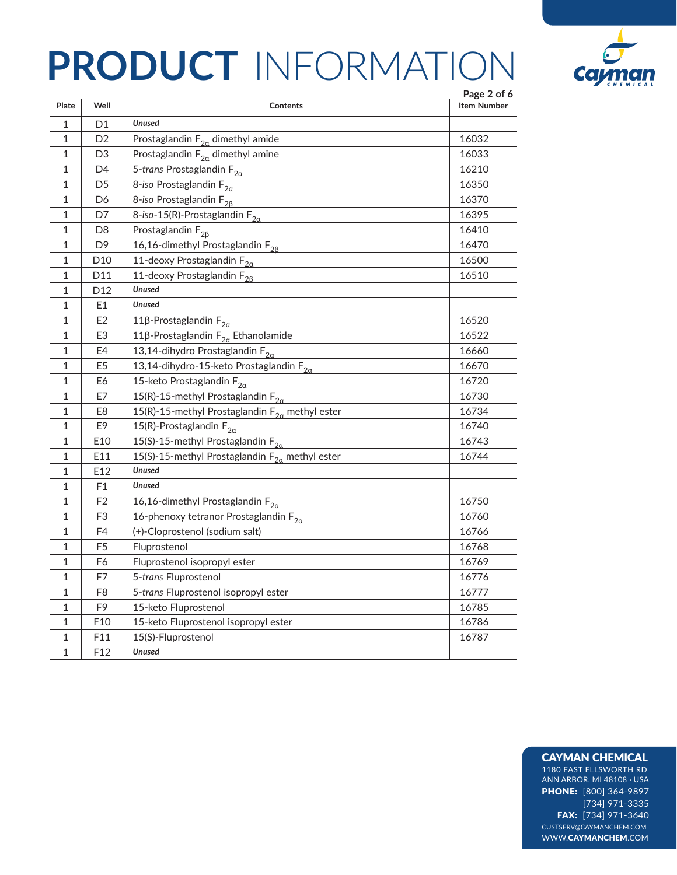

|              |                |                                                          | Page 2 of 6        |
|--------------|----------------|----------------------------------------------------------|--------------------|
| Plate        | Well           | Contents                                                 | <b>Item Number</b> |
| $\mathbf{1}$ | D <sub>1</sub> | <b>Unused</b>                                            |                    |
| $\mathbf{1}$ | D <sub>2</sub> | Prostaglandin $F_{2\alpha}$ dimethyl amide               | 16032              |
| 1            | D3             | Prostaglandin $F_{2a}$ dimethyl amine                    | 16033              |
| 1            | D4             | 5-trans Prostaglandin $F_{2\alpha}$                      | 16210              |
| 1            | D5             | 8-iso Prostaglandin $F_{2a}$                             | 16350              |
| 1            | D6             | 8-iso Prostaglandin F <sub>28</sub>                      | 16370              |
| 1            | D7             | 8-iso-15(R)-Prostaglandin $F_{2\alpha}$                  | 16395              |
| 1            | D <sub>8</sub> | Prostaglandin $F_{28}$                                   | 16410              |
| 1            | D <sub>9</sub> | 16,16-dimethyl Prostaglandin F <sub>28</sub>             | 16470              |
| 1            | D10            | 11-deoxy Prostaglandin $F_{2a}$                          | 16500              |
| 1            | D11            | 11-deoxy Prostaglandin F <sub>28</sub>                   | 16510              |
| 1            | D12            | <b>Unused</b>                                            |                    |
| 1            | E1             | <b>Unused</b>                                            |                    |
| 1            | E <sub>2</sub> | 11β-Prostaglandin $F_{2a}$                               | 16520              |
| 1            | E3             | $11\beta$ -Prostaglandin $F_{2\alpha}$ Ethanolamide      | 16522              |
| 1            | E4             | 13,14-dihydro Prostaglandin F <sub>2a</sub>              | 16660              |
| 1            | E <sub>5</sub> | 13,14-dihydro-15-keto Prostaglandin $F_{2a}$             | 16670              |
| 1            | E6             | 15-keto Prostaglandin $F_{2a}$                           | 16720              |
| 1            | E7             | 15(R)-15-methyl Prostaglandin $F_{2a}$                   | 16730              |
| $\mathbf{1}$ | E8             | 15(R)-15-methyl Prostaglandin $F_{2a}$ methyl ester      | 16734              |
| 1            | E9             | 15(R)-Prostaglandin $F_{2\alpha}$                        | 16740              |
| $\mathbf{1}$ | E10            | 15(S)-15-methyl Prostaglandin $F_{2\alpha}$              | 16743              |
| $\mathbf{1}$ | E11            | 15(S)-15-methyl Prostaglandin $F_{2\alpha}$ methyl ester | 16744              |
| 1            | E12            | <b>Unused</b>                                            |                    |
| 1            | F1             | <b>Unused</b>                                            |                    |
| 1            | F <sub>2</sub> | 16,16-dimethyl Prostaglandin $F_{2a}$                    | 16750              |
| 1            | F3             | 16-phenoxy tetranor Prostaglandin $F_{2a}$               | 16760              |
| $\mathbf{1}$ | F4             | (+)-Cloprostenol (sodium salt)                           | 16766              |
| $\mathbf{1}$ | F <sub>5</sub> | Fluprostenol                                             | 16768              |
| $\mathbf{1}$ | F6             | Fluprostenol isopropyl ester                             | 16769              |
| $\mathbf{1}$ | F7             | 5-trans Fluprostenol                                     | 16776              |
| 1            | F8             | 5-trans Fluprostenol isopropyl ester                     | 16777              |
| 1            | F9             | 15-keto Fluprostenol                                     | 16785              |
| 1            | F10            | 15-keto Fluprostenol isopropyl ester                     | 16786              |
| 1            | F11            | 15(S)-Fluprostenol                                       | 16787              |
| 1            | F12            | <b>Unused</b>                                            |                    |

### CAYMAN CHEMICAL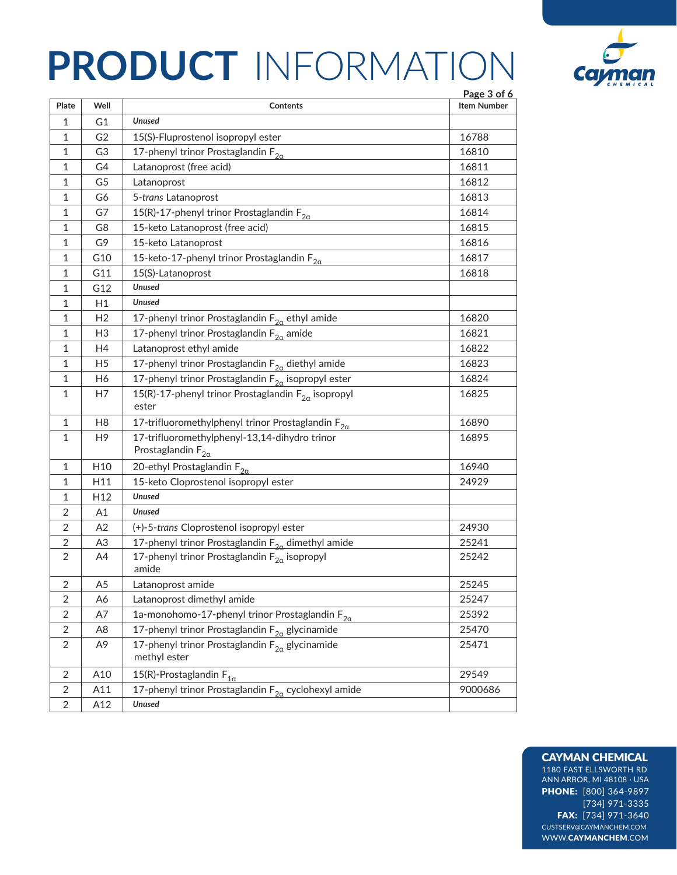

|                |                 | Page 3 of 6                                                                |                    |
|----------------|-----------------|----------------------------------------------------------------------------|--------------------|
| Plate          | Well            | Contents                                                                   | <b>Item Number</b> |
| 1              | G1              | <b>Unused</b>                                                              |                    |
| 1              | G <sub>2</sub>  | 15(S)-Fluprostenol isopropyl ester                                         | 16788              |
| 1              | G3              | 17-phenyl trinor Prostaglandin $F_{2a}$                                    | 16810              |
| 1              | G4              | Latanoprost (free acid)                                                    | 16811              |
| 1              | G5              | Latanoprost                                                                | 16812              |
| 1              | G6              | 5-trans Latanoprost                                                        | 16813              |
| 1              | G7              | 15(R)-17-phenyl trinor Prostaglandin $F_{2a}$                              | 16814              |
| 1              | G8              | 15-keto Latanoprost (free acid)                                            | 16815              |
| 1              | G9              | 15-keto Latanoprost                                                        | 16816              |
| 1              | G10             | 15-keto-17-phenyl trinor Prostaglandin $F_{2\alpha}$                       | 16817              |
| 1              | G11             | 15(S)-Latanoprost                                                          | 16818              |
| 1              | G12             | <b>Unused</b>                                                              |                    |
| 1              | H1              | <b>Unused</b>                                                              |                    |
| 1              | H <sub>2</sub>  | 17-phenyl trinor Prostaglandin $F_{2a}$ ethyl amide                        | 16820              |
| 1              | H <sub>3</sub>  | 17-phenyl trinor Prostaglandin $F_{2a}$ amide                              | 16821              |
| 1              | H4              | Latanoprost ethyl amide                                                    | 16822              |
| 1              | H <sub>5</sub>  | 17-phenyl trinor Prostaglandin F <sub>2q</sub> diethyl amide               | 16823              |
| 1              | H6              | 17-phenyl trinor Prostaglandin $F_{2\alpha}$ isopropyl ester               | 16824              |
| 1              | H7              | 15(R)-17-phenyl trinor Prostaglandin $F_{2\alpha}$ isopropyl<br>ester      | 16825              |
| 1              | H <sub>8</sub>  | 17-trifluoromethylphenyl trinor Prostaglandin $F_{2a}$                     | 16890              |
| 1              | H <sub>9</sub>  | 17-trifluoromethylphenyl-13,14-dihydro trinor<br>Prostaglandin $F_{2a}$    | 16895              |
| 1              | H10             | 20-ethyl Prostaglandin $F_{2a}$                                            | 16940              |
| 1              | H11             | 15-keto Cloprostenol isopropyl ester                                       | 24929              |
| 1              | H <sub>12</sub> | <b>Unused</b>                                                              |                    |
| $\overline{2}$ | Α1              | <b>Unused</b>                                                              |                    |
| 2              | A2              | (+)-5-trans Cloprostenol isopropyl ester                                   | 24930              |
| $\overline{2}$ | A <sub>3</sub>  | 17-phenyl trinor Prostaglandin $F_{2a}$ dimethyl amide                     | 25241              |
| 2              | A4              | 17-phenyl trinor Prostaglandin $F_{2a}$ isopropyl<br>amide                 | 25242              |
| 2              | A <sub>5</sub>  | Latanoprost amide                                                          | 25245              |
| 2              | A6              | Latanoprost dimethyl amide                                                 | 25247              |
| 2              | A7              | 1a-monohomo-17-phenyl trinor Prostaglandin $F_{2a}$                        | 25392              |
| $\overline{2}$ | A8              | 17-phenyl trinor Prostaglandin F <sub>2a</sub> glycinamide                 | 25470              |
| $\overline{2}$ | A <sub>9</sub>  | 17-phenyl trinor Prostaglandin F <sub>2a</sub> glycinamide<br>methyl ester | 25471              |
| $\overline{2}$ | A10             | 15(R)-Prostaglandin $F_{1\alpha}$                                          | 29549              |
| $\overline{2}$ | A11             | 17-phenyl trinor Prostaglandin $F_{2a}$ cyclohexyl amide                   | 9000686            |
| $\overline{2}$ | A12             | <b>Unused</b>                                                              |                    |

#### CAYMAN CHEMICAL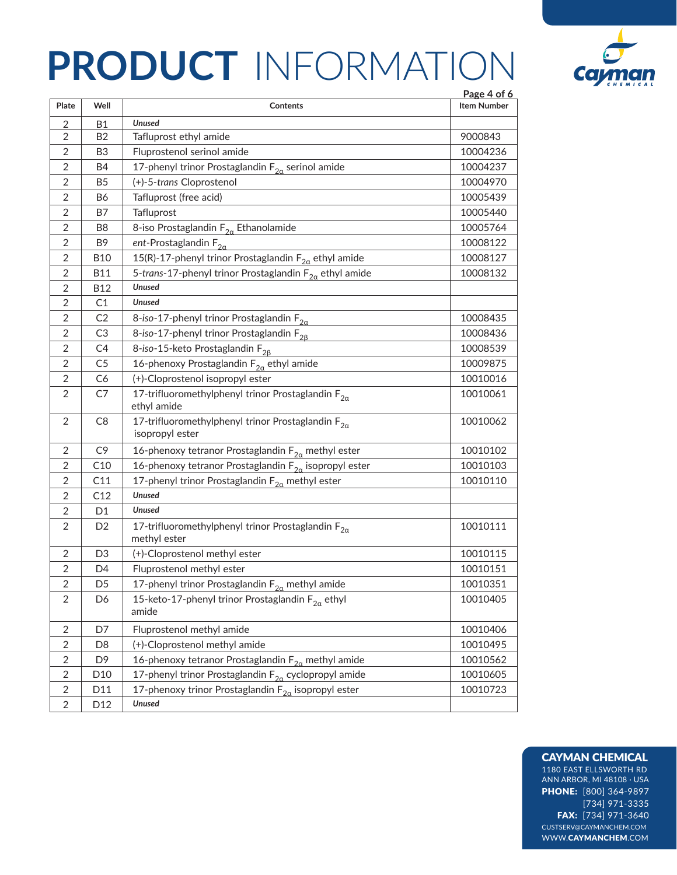

| Plate          | Well            | Contents                                                                       | Page 4 of 6<br><b>Item Number</b> |  |
|----------------|-----------------|--------------------------------------------------------------------------------|-----------------------------------|--|
| 2              | <b>B1</b>       | <b>Unused</b>                                                                  |                                   |  |
| 2              | B <sub>2</sub>  | Tafluprost ethyl amide                                                         | 9000843                           |  |
| $\overline{2}$ | B3              | Fluprostenol serinol amide                                                     | 10004236                          |  |
| 2              | B4              | 17-phenyl trinor Prostaglandin $F_{2a}$ serinol amide                          | 10004237                          |  |
| 2              | B <sub>5</sub>  | (+)-5-trans Cloprostenol                                                       | 10004970                          |  |
| 2              | Β6              | Tafluprost (free acid)                                                         | 10005439                          |  |
| 2              | Β7              | Tafluprost                                                                     | 10005440                          |  |
| 2              | B8              | 8-iso Prostaglandin $F_{2a}$ Ethanolamide                                      | 10005764                          |  |
| 2              | B9              | ent-Prostaglandin $F_{2a}$                                                     | 10008122                          |  |
| 2              | <b>B10</b>      | 15(R)-17-phenyl trinor Prostaglandin $F_{2\alpha}$ ethyl amide                 | 10008127                          |  |
| 2              | <b>B11</b>      | 5-trans-17-phenyl trinor Prostaglandin $F_{2a}$ ethyl amide                    | 10008132                          |  |
| 2              | <b>B12</b>      | <b>Unused</b>                                                                  |                                   |  |
| 2              | C1              | <b>Unused</b>                                                                  |                                   |  |
| $\overline{2}$ | C <sub>2</sub>  | 8-iso-17-phenyl trinor Prostaglandin $F_{2a}$                                  | 10008435                          |  |
| $\overline{2}$ | C3              | 8-iso-17-phenyl trinor Prostaglandin F <sub>28</sub>                           | 10008436                          |  |
| 2              | C4              | 8-iso-15-keto Prostaglandin F <sub>28</sub><br>10008539                        |                                   |  |
| 2              | C5              | 16-phenoxy Prostaglandin $\mathsf{F}_{2\alpha}$ ethyl amide                    | 10009875                          |  |
| 2              | C6              | (+)-Cloprostenol isopropyl ester<br>10010016                                   |                                   |  |
| 2              | C7              | 17-trifluoromethylphenyl trinor Prostaglandin $F_{2\alpha}$<br>ethyl amide     | 10010061                          |  |
| 2              | C <sub>8</sub>  | 17-trifluoromethylphenyl trinor Prostaglandin $F_{2\alpha}$<br>isopropyl ester | 10010062                          |  |
| $\overline{2}$ | C <sub>9</sub>  | 16-phenoxy tetranor Prostaglandin $F_{2\alpha}$ methyl ester                   | 10010102                          |  |
| 2              | C10             | 16-phenoxy tetranor Prostaglandin $F_{2a}$ isopropyl ester                     | 10010103                          |  |
| 2              | C11             | 17-phenyl trinor Prostaglandin $F_{2\alpha}$ methyl ester                      | 10010110                          |  |
| $\overline{2}$ | C12             | <b>Unused</b>                                                                  |                                   |  |
| $\overline{2}$ | D1              | <b>Unused</b>                                                                  |                                   |  |
| 2              | D2              | 17-trifluoromethylphenyl trinor Prostaglandin $F_{2\alpha}$<br>methyl ester    | 10010111                          |  |
| 2              | D <sub>3</sub>  | (+)-Cloprostenol methyl ester                                                  | 10010115                          |  |
| 2              | D4              | Fluprostenol methyl ester                                                      | 10010151                          |  |
| 2              | D <sub>5</sub>  | 17-phenyl trinor Prostaglandin $F_{2a}$ methyl amide<br>10010351               |                                   |  |
| 2              | D6              | 15-keto-17-phenyl trinor Prostaglandin $F_{2a}$ ethyl<br>amide                 | 10010405                          |  |
| $\overline{2}$ | D7              | Fluprostenol methyl amide                                                      | 10010406                          |  |
| 2              | D8              | (+)-Cloprostenol methyl amide<br>10010495                                      |                                   |  |
| $\overline{2}$ | D9              | 16-phenoxy tetranor Prostaglandin $F_{2a}$ methyl amide<br>10010562            |                                   |  |
| 2              | D <sub>10</sub> | 17-phenyl trinor Prostaglandin $F_{2\alpha}$ cyclopropyl amide                 | 10010605                          |  |
| $\overline{2}$ | D11             | 17-phenoxy trinor Prostaglandin $F_{2\alpha}$ isopropyl ester<br>10010723      |                                   |  |
| $\overline{2}$ | D12             | <b>Unused</b>                                                                  |                                   |  |

#### CAYMAN CHEMICAL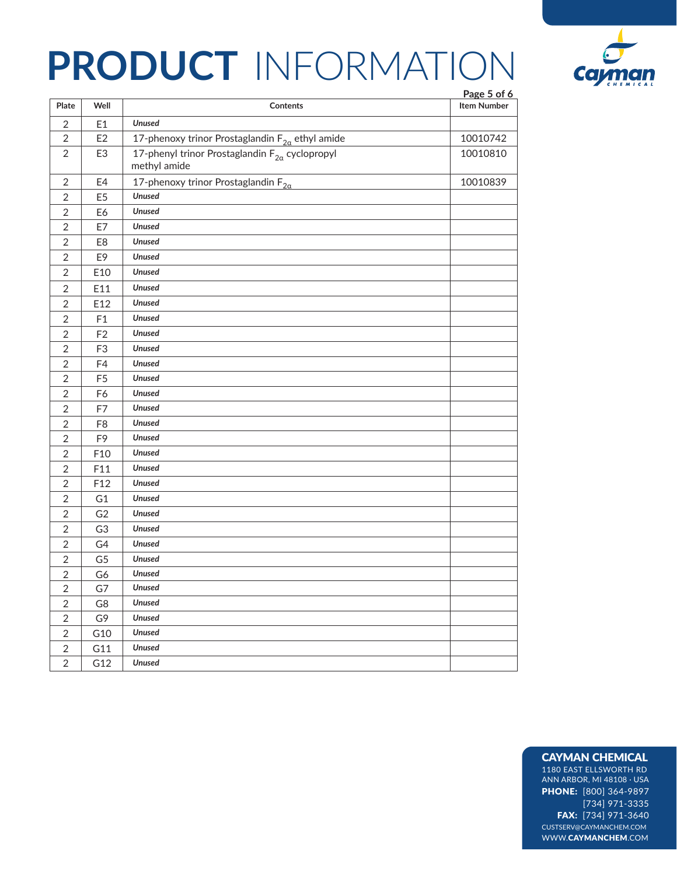

|                |                 |                                                                          | Page 5 of 6        |
|----------------|-----------------|--------------------------------------------------------------------------|--------------------|
| Plate          | Well            | <b>Contents</b>                                                          | <b>Item Number</b> |
| $\overline{2}$ | E <sub>1</sub>  | <b>Unused</b>                                                            |                    |
| 2              | E <sub>2</sub>  | 17-phenoxy trinor Prostaglandin $F_{2\alpha}$ ethyl amide                | 10010742           |
| $\overline{2}$ | E <sub>3</sub>  | 17-phenyl trinor Prostaglandin $F_{2\alpha}$ cyclopropyl<br>methyl amide | 10010810           |
| $\overline{2}$ | E4              | 17-phenoxy trinor Prostaglandin $F_{2a}$                                 | 10010839           |
| $\overline{2}$ | E <sub>5</sub>  | <b>Unused</b>                                                            |                    |
| $\overline{2}$ | E6              | <b>Unused</b>                                                            |                    |
| $\overline{2}$ | E7              | <b>Unused</b>                                                            |                    |
| $\overline{2}$ | E8              | <b>Unused</b>                                                            |                    |
| 2              | E9              | <b>Unused</b>                                                            |                    |
| $\overline{2}$ | E10             | <b>Unused</b>                                                            |                    |
| $\overline{2}$ | E11             | <b>Unused</b>                                                            |                    |
| $\overline{2}$ | E12             | <b>Unused</b>                                                            |                    |
| $\overline{2}$ | F1              | <b>Unused</b>                                                            |                    |
| $\overline{2}$ | F <sub>2</sub>  | <b>Unused</b>                                                            |                    |
| $\overline{2}$ | F <sub>3</sub>  | <b>Unused</b>                                                            |                    |
| 2              | F4              | <b>Unused</b>                                                            |                    |
| $\overline{2}$ | F <sub>5</sub>  | <b>Unused</b>                                                            |                    |
| 2              | F6              | <b>Unused</b>                                                            |                    |
| $\overline{2}$ | F7              | <b>Unused</b>                                                            |                    |
| $\overline{2}$ | F <sub>8</sub>  | <b>Unused</b>                                                            |                    |
| $\overline{2}$ | F <sub>9</sub>  | <b>Unused</b>                                                            |                    |
| $\overline{2}$ | F10             | <b>Unused</b>                                                            |                    |
| $\overline{2}$ | F11             | <b>Unused</b>                                                            |                    |
| $\overline{2}$ | F <sub>12</sub> | <b>Unused</b>                                                            |                    |
| $\overline{2}$ | G <sub>1</sub>  | <b>Unused</b>                                                            |                    |
| $\overline{2}$ | G <sub>2</sub>  | <b>Unused</b>                                                            |                    |
| $\overline{2}$ | G <sub>3</sub>  | <b>Unused</b>                                                            |                    |
| $\overline{2}$ | G4              | <b>Unused</b>                                                            |                    |
| $\overline{2}$ | G5              | <b>Unused</b>                                                            |                    |
| $\sqrt{2}$     | G6              | Unused                                                                   |                    |
| $\overline{c}$ | G7              | Unused                                                                   |                    |
| $\overline{2}$ | G8              | <b>Unused</b>                                                            |                    |
| $\overline{2}$ | G9              | Unused                                                                   |                    |
| $\overline{2}$ | G10             | <b>Unused</b>                                                            |                    |
| $\overline{2}$ | G11             | <b>Unused</b>                                                            |                    |
| $\overline{2}$ | G12             | <b>Unused</b>                                                            |                    |

### CAYMAN CHEMICAL